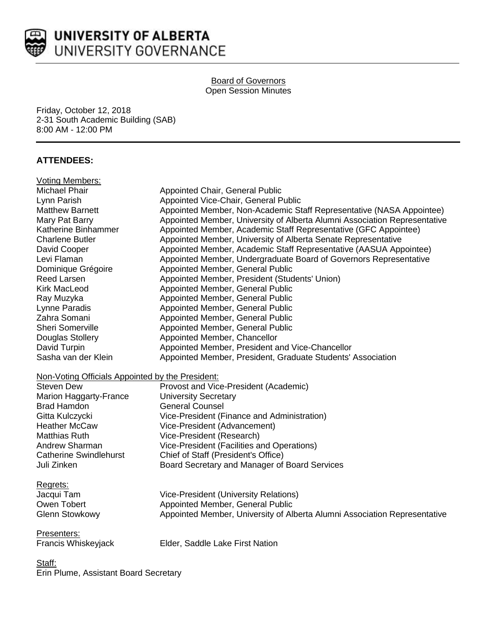

#### Board of Governors Open Session Minutes

Friday, October 12, 2018 2-31 South Academic Building (SAB) 8:00 AM - 12:00 PM

# **ATTENDEES:**

| <b>Voting Members:</b>                           |                                                                           |
|--------------------------------------------------|---------------------------------------------------------------------------|
| Michael Phair                                    | Appointed Chair, General Public                                           |
| Lynn Parish                                      | Appointed Vice-Chair, General Public                                      |
| <b>Matthew Barnett</b>                           | Appointed Member, Non-Academic Staff Representative (NASA Appointee)      |
| Mary Pat Barry                                   | Appointed Member, University of Alberta Alumni Association Representative |
| Katherine Binhammer                              | Appointed Member, Academic Staff Representative (GFC Appointee)           |
| <b>Charlene Butler</b>                           | Appointed Member, University of Alberta Senate Representative             |
| David Cooper                                     | Appointed Member, Academic Staff Representative (AASUA Appointee)         |
| Levi Flaman                                      | Appointed Member, Undergraduate Board of Governors Representative         |
| Dominique Grégoire                               | Appointed Member, General Public                                          |
| Reed Larsen                                      | Appointed Member, President (Students' Union)                             |
| <b>Kirk MacLeod</b>                              | Appointed Member, General Public                                          |
| Ray Muzyka                                       | Appointed Member, General Public                                          |
| Lynne Paradis                                    | Appointed Member, General Public                                          |
| Zahra Somani                                     | Appointed Member, General Public                                          |
| Sheri Somerville                                 | Appointed Member, General Public                                          |
| Douglas Stollery                                 | Appointed Member, Chancellor                                              |
| David Turpin                                     | Appointed Member, President and Vice-Chancellor                           |
| Sasha van der Klein                              | Appointed Member, President, Graduate Students' Association               |
| Non-Voting Officials Appointed by the President: |                                                                           |
| <b>Steven Dew</b>                                | Provost and Vice-President (Academic)                                     |
| Marion Haggarty-France                           | <b>University Secretary</b>                                               |
| <b>Brad Hamdon</b>                               | <b>General Counsel</b>                                                    |
| Gitta Kulczycki                                  | Vice-President (Finance and Administration)                               |
| <b>Heather McCaw</b>                             | Vice-President (Advancement)                                              |
| <b>Matthias Ruth</b>                             | Vice-President (Research)                                                 |
| Andrew Sharman                                   | Vice-President (Facilities and Operations)                                |
| <b>Catherine Swindlehurst</b>                    | Chief of Staff (President's Office)                                       |
| Juli Zinken                                      | Board Secretary and Manager of Board Services                             |
| Regrets:                                         |                                                                           |
| Jacqui Tam                                       | <b>Vice-President (University Relations)</b>                              |
| Owen Tobert                                      | Appointed Member, General Public                                          |
| <b>Glenn Stowkowy</b>                            | Appointed Member, University of Alberta Alumni Association Representative |
| Presenters:                                      |                                                                           |
| Francis Whiskeyjack                              | Elder, Saddle Lake First Nation                                           |
| Staff:                                           |                                                                           |

Erin Plume, Assistant Board Secretary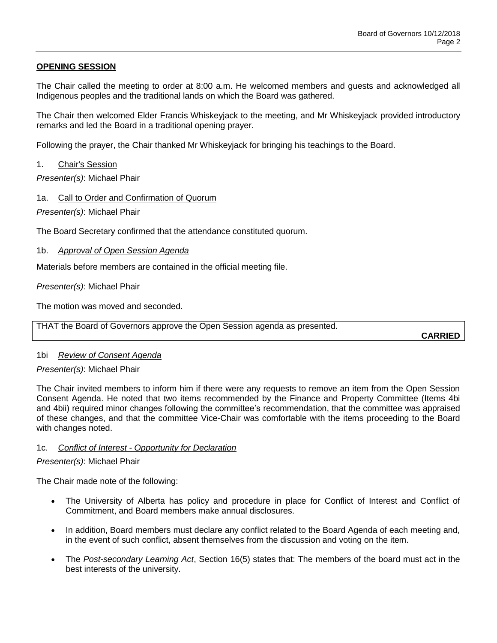## **OPENING SESSION**

The Chair called the meeting to order at 8:00 a.m. He welcomed members and guests and acknowledged all Indigenous peoples and the traditional lands on which the Board was gathered.

The Chair then welcomed Elder Francis Whiskeyjack to the meeting, and Mr Whiskeyjack provided introductory remarks and led the Board in a traditional opening prayer.

Following the prayer, the Chair thanked Mr Whiskeyjack for bringing his teachings to the Board.

1. Chair's Session

*Presenter(s)*: Michael Phair

1a. Call to Order and Confirmation of Quorum

*Presenter(s)*: Michael Phair

The Board Secretary confirmed that the attendance constituted quorum.

### 1b. *Approval of Open Session Agenda*

Materials before members are contained in the official meeting file.

*Presenter(s)*: Michael Phair

The motion was moved and seconded.

THAT the Board of Governors approve the Open Session agenda as presented.

**CARRIED**

### 1bi *Review of Consent Agenda*

### *Presenter(s)*: Michael Phair

The Chair invited members to inform him if there were any requests to remove an item from the Open Session Consent Agenda. He noted that two items recommended by the Finance and Property Committee (Items 4bi and 4bii) required minor changes following the committee's recommendation, that the committee was appraised of these changes, and that the committee Vice-Chair was comfortable with the items proceeding to the Board with changes noted.

### 1c. *Conflict of Interest - Opportunity for Declaration*

*Presenter(s)*: Michael Phair

The Chair made note of the following:

- The University of Alberta has policy and procedure in place for Conflict of Interest and Conflict of Commitment, and Board members make annual disclosures.
- In addition, Board members must declare any conflict related to the Board Agenda of each meeting and, in the event of such conflict, absent themselves from the discussion and voting on the item.
- The *Post-secondary Learning Act*, Section 16(5) states that: The members of the board must act in the best interests of the university.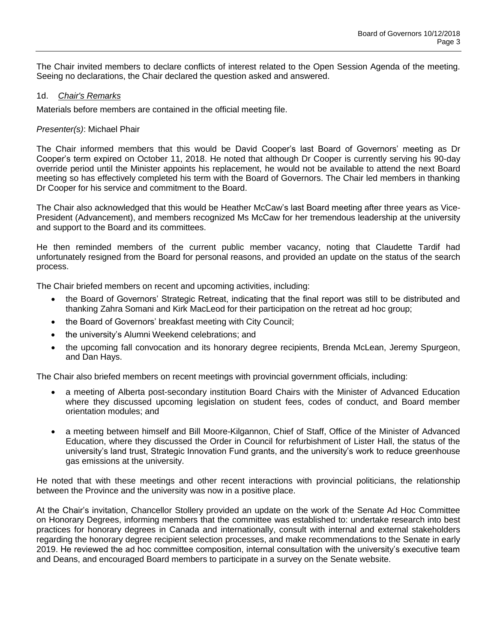The Chair invited members to declare conflicts of interest related to the Open Session Agenda of the meeting. Seeing no declarations, the Chair declared the question asked and answered.

### 1d. *Chair's Remarks*

Materials before members are contained in the official meeting file.

## *Presenter(s)*: Michael Phair

The Chair informed members that this would be David Cooper's last Board of Governors' meeting as Dr Cooper's term expired on October 11, 2018. He noted that although Dr Cooper is currently serving his 90-day override period until the Minister appoints his replacement, he would not be available to attend the next Board meeting so has effectively completed his term with the Board of Governors. The Chair led members in thanking Dr Cooper for his service and commitment to the Board.

The Chair also acknowledged that this would be Heather McCaw's last Board meeting after three years as Vice-President (Advancement), and members recognized Ms McCaw for her tremendous leadership at the university and support to the Board and its committees.

He then reminded members of the current public member vacancy, noting that Claudette Tardif had unfortunately resigned from the Board for personal reasons, and provided an update on the status of the search process.

The Chair briefed members on recent and upcoming activities, including:

- the Board of Governors' Strategic Retreat, indicating that the final report was still to be distributed and thanking Zahra Somani and Kirk MacLeod for their participation on the retreat ad hoc group;
- the Board of Governors' breakfast meeting with City Council;
- the university's Alumni Weekend celebrations; and
- the upcoming fall convocation and its honorary degree recipients, Brenda McLean, Jeremy Spurgeon, and Dan Hays.

The Chair also briefed members on recent meetings with provincial government officials, including:

- a meeting of Alberta post-secondary institution Board Chairs with the Minister of Advanced Education where they discussed upcoming legislation on student fees, codes of conduct, and Board member orientation modules; and
- a meeting between himself and Bill Moore-Kilgannon, Chief of Staff, Office of the Minister of Advanced Education, where they discussed the Order in Council for refurbishment of Lister Hall, the status of the university's land trust, Strategic Innovation Fund grants, and the university's work to reduce greenhouse gas emissions at the university.

He noted that with these meetings and other recent interactions with provincial politicians, the relationship between the Province and the university was now in a positive place.

At the Chair's invitation, Chancellor Stollery provided an update on the work of the Senate Ad Hoc Committee on Honorary Degrees, informing members that the committee was established to: undertake research into best practices for honorary degrees in Canada and internationally, consult with internal and external stakeholders regarding the honorary degree recipient selection processes, and make recommendations to the Senate in early 2019. He reviewed the ad hoc committee composition, internal consultation with the university's executive team and Deans, and encouraged Board members to participate in a survey on the Senate website.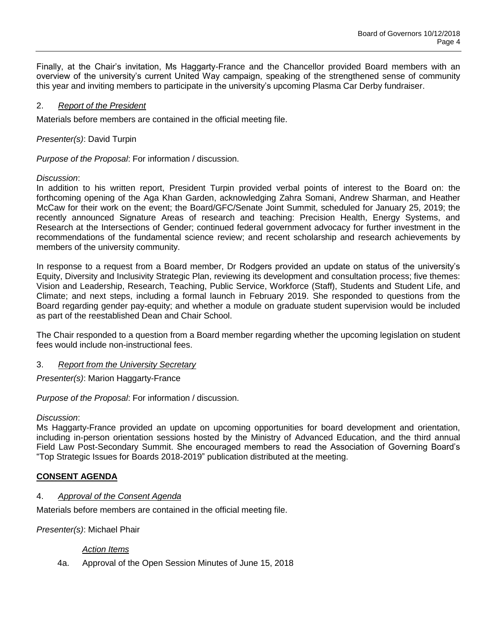Finally, at the Chair's invitation, Ms Haggarty-France and the Chancellor provided Board members with an overview of the university's current United Way campaign, speaking of the strengthened sense of community this year and inviting members to participate in the university's upcoming Plasma Car Derby fundraiser.

### 2. *Report of the President*

Materials before members are contained in the official meeting file.

*Presenter(s)*: David Turpin

*Purpose of the Proposal*: For information / discussion.

### *Discussion*:

In addition to his written report, President Turpin provided verbal points of interest to the Board on: the forthcoming opening of the Aga Khan Garden, acknowledging Zahra Somani, Andrew Sharman, and Heather McCaw for their work on the event; the Board/GFC/Senate Joint Summit, scheduled for January 25, 2019; the recently announced Signature Areas of research and teaching: Precision Health, Energy Systems, and Research at the Intersections of Gender; continued federal government advocacy for further investment in the recommendations of the fundamental science review; and recent scholarship and research achievements by members of the university community.

In response to a request from a Board member, Dr Rodgers provided an update on status of the university's Equity, Diversity and Inclusivity Strategic Plan, reviewing its development and consultation process; five themes: Vision and Leadership, Research, Teaching, Public Service, Workforce (Staff), Students and Student Life, and Climate; and next steps, including a formal launch in February 2019. She responded to questions from the Board regarding gender pay-equity; and whether a module on graduate student supervision would be included as part of the reestablished Dean and Chair School.

The Chair responded to a question from a Board member regarding whether the upcoming legislation on student fees would include non-instructional fees.

### 3. *Report from the University Secretary*

*Presenter(s)*: Marion Haggarty-France

*Purpose of the Proposal*: For information / discussion.

### *Discussion*:

Ms Haggarty-France provided an update on upcoming opportunities for board development and orientation, including in-person orientation sessions hosted by the Ministry of Advanced Education, and the third annual Field Law Post-Secondary Summit. She encouraged members to read the Association of Governing Board's "Top Strategic Issues for Boards 2018-2019" publication distributed at the meeting.

# **CONSENT AGENDA**

### 4. *Approval of the Consent Agenda*

Materials before members are contained in the official meeting file.

*Presenter(s)*: Michael Phair

### *Action Items*

4a. Approval of the Open Session Minutes of June 15, 2018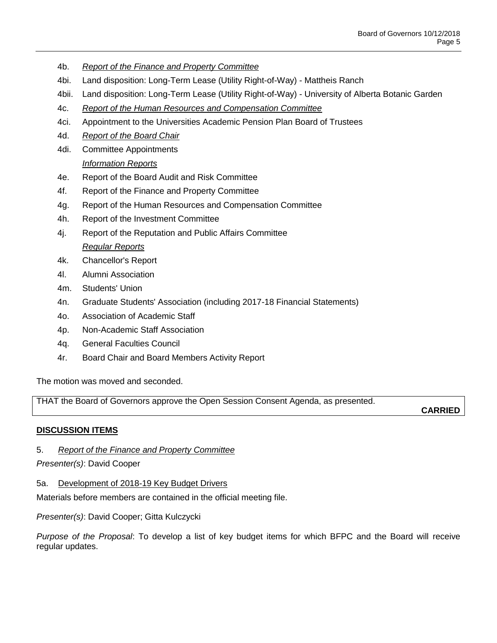- 4b. *Report of the Finance and Property Committee*
- 4bi. Land disposition: Long-Term Lease (Utility Right-of-Way) Mattheis Ranch
- 4bii. Land disposition: Long-Term Lease (Utility Right-of-Way) University of Alberta Botanic Garden
- 4c. *Report of the Human Resources and Compensation Committee*
- 4ci. Appointment to the Universities Academic Pension Plan Board of Trustees
- 4d. *Report of the Board Chair*
- 4di. Committee Appointments *Information Reports*
- 4e. Report of the Board Audit and Risk Committee
- 4f. Report of the Finance and Property Committee
- 4g. Report of the Human Resources and Compensation Committee
- 4h. Report of the Investment Committee
- 4j. Report of the Reputation and Public Affairs Committee *Regular Reports*
- 4k. Chancellor's Report
- 4l. Alumni Association
- 4m. Students' Union
- 4n. Graduate Students' Association (including 2017-18 Financial Statements)
- 4o. Association of Academic Staff
- 4p. Non-Academic Staff Association
- 4q. General Faculties Council
- 4r. Board Chair and Board Members Activity Report

The motion was moved and seconded.

THAT the Board of Governors approve the Open Session Consent Agenda, as presented.

**CARRIED**

# **DISCUSSION ITEMS**

5. *Report of the Finance and Property Committee*

### *Presenter(s)*: David Cooper

5a. Development of 2018-19 Key Budget Drivers

Materials before members are contained in the official meeting file.

*Presenter(s)*: David Cooper; Gitta Kulczycki

*Purpose of the Proposal*: To develop a list of key budget items for which BFPC and the Board will receive regular updates.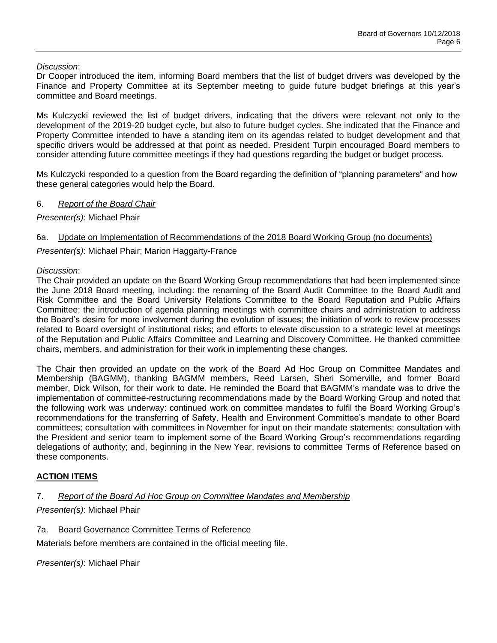## *Discussion*:

Dr Cooper introduced the item, informing Board members that the list of budget drivers was developed by the Finance and Property Committee at its September meeting to guide future budget briefings at this year's committee and Board meetings.

Ms Kulczycki reviewed the list of budget drivers, indicating that the drivers were relevant not only to the development of the 2019-20 budget cycle, but also to future budget cycles. She indicated that the Finance and Property Committee intended to have a standing item on its agendas related to budget development and that specific drivers would be addressed at that point as needed. President Turpin encouraged Board members to consider attending future committee meetings if they had questions regarding the budget or budget process.

Ms Kulczycki responded to a question from the Board regarding the definition of "planning parameters" and how these general categories would help the Board.

## 6. *Report of the Board Chair*

*Presenter(s)*: Michael Phair

## 6a. Update on Implementation of Recommendations of the 2018 Board Working Group (no documents)

*Presenter(s)*: Michael Phair; Marion Haggarty-France

## *Discussion*:

The Chair provided an update on the Board Working Group recommendations that had been implemented since the June 2018 Board meeting, including: the renaming of the Board Audit Committee to the Board Audit and Risk Committee and the Board University Relations Committee to the Board Reputation and Public Affairs Committee; the introduction of agenda planning meetings with committee chairs and administration to address the Board's desire for more involvement during the evolution of issues; the initiation of work to review processes related to Board oversight of institutional risks; and efforts to elevate discussion to a strategic level at meetings of the Reputation and Public Affairs Committee and Learning and Discovery Committee. He thanked committee chairs, members, and administration for their work in implementing these changes.

The Chair then provided an update on the work of the Board Ad Hoc Group on Committee Mandates and Membership (BAGMM), thanking BAGMM members, Reed Larsen, Sheri Somerville, and former Board member, Dick Wilson, for their work to date. He reminded the Board that BAGMM's mandate was to drive the implementation of committee-restructuring recommendations made by the Board Working Group and noted that the following work was underway: continued work on committee mandates to fulfil the Board Working Group's recommendations for the transferring of Safety, Health and Environment Committee's mandate to other Board committees; consultation with committees in November for input on their mandate statements; consultation with the President and senior team to implement some of the Board Working Group's recommendations regarding delegations of authority; and, beginning in the New Year, revisions to committee Terms of Reference based on these components.

# **ACTION ITEMS**

# 7. *Report of the Board Ad Hoc Group on Committee Mandates and Membership*

# *Presenter(s)*: Michael Phair

### 7a. Board Governance Committee Terms of Reference

Materials before members are contained in the official meeting file.

*Presenter(s)*: Michael Phair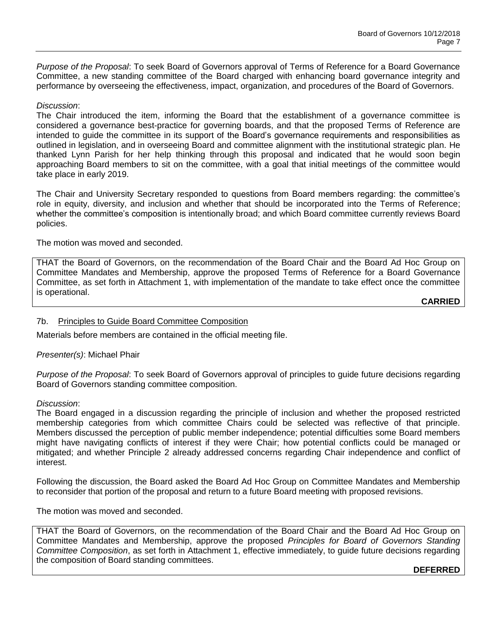*Purpose of the Proposal*: To seek Board of Governors approval of Terms of Reference for a Board Governance Committee, a new standing committee of the Board charged with enhancing board governance integrity and performance by overseeing the effectiveness, impact, organization, and procedures of the Board of Governors.

#### *Discussion*:

The Chair introduced the item, informing the Board that the establishment of a governance committee is considered a governance best-practice for governing boards, and that the proposed Terms of Reference are intended to guide the committee in its support of the Board's governance requirements and responsibilities as outlined in legislation, and in overseeing Board and committee alignment with the institutional strategic plan. He thanked Lynn Parish for her help thinking through this proposal and indicated that he would soon begin approaching Board members to sit on the committee, with a goal that initial meetings of the committee would take place in early 2019.

The Chair and University Secretary responded to questions from Board members regarding: the committee's role in equity, diversity, and inclusion and whether that should be incorporated into the Terms of Reference; whether the committee's composition is intentionally broad; and which Board committee currently reviews Board policies.

The motion was moved and seconded.

THAT the Board of Governors, on the recommendation of the Board Chair and the Board Ad Hoc Group on Committee Mandates and Membership, approve the proposed Terms of Reference for a Board Governance Committee, as set forth in Attachment 1, with implementation of the mandate to take effect once the committee is operational.

**CARRIED**

#### 7b. Principles to Guide Board Committee Composition

Materials before members are contained in the official meeting file.

#### *Presenter(s)*: Michael Phair

*Purpose of the Proposal*: To seek Board of Governors approval of principles to guide future decisions regarding Board of Governors standing committee composition.

#### *Discussion*:

The Board engaged in a discussion regarding the principle of inclusion and whether the proposed restricted membership categories from which committee Chairs could be selected was reflective of that principle. Members discussed the perception of public member independence; potential difficulties some Board members might have navigating conflicts of interest if they were Chair; how potential conflicts could be managed or mitigated; and whether Principle 2 already addressed concerns regarding Chair independence and conflict of interest.

Following the discussion, the Board asked the Board Ad Hoc Group on Committee Mandates and Membership to reconsider that portion of the proposal and return to a future Board meeting with proposed revisions.

The motion was moved and seconded.

THAT the Board of Governors, on the recommendation of the Board Chair and the Board Ad Hoc Group on Committee Mandates and Membership, approve the proposed *Principles for Board of Governors Standing Committee Composition*, as set forth in Attachment 1, effective immediately, to guide future decisions regarding the composition of Board standing committees.

**DEFERRED**